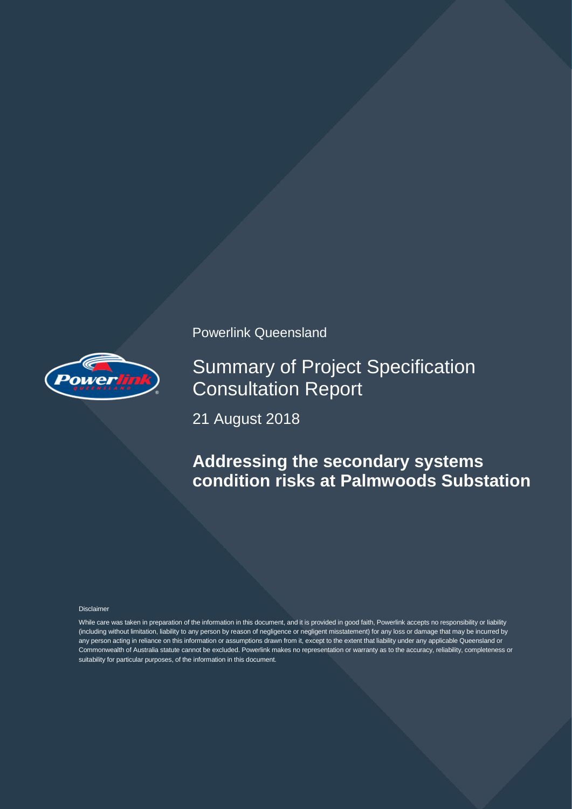

Powerlink Queensland

Summary of Project Specification Consultation Report

21 August 2018

# **Addressing the secondary systems condition risks at Palmwoods Substation**

#### Disclaimer

While care was taken in preparation of the information in this document, and it is provided in good faith, Powerlink accepts no responsibility or liability (including without limitation, liability to any person by reason of negligence or negligent misstatement) for any loss or damage that may be incurred by any person acting in reliance on this information or assumptions drawn from it, except to the extent that liability under any applicable Queensland or Commonwealth of Australia statute cannot be excluded. Powerlink makes no representation or warranty as to the accuracy, reliability, completeness or suitability for particular purposes, of the information in this document.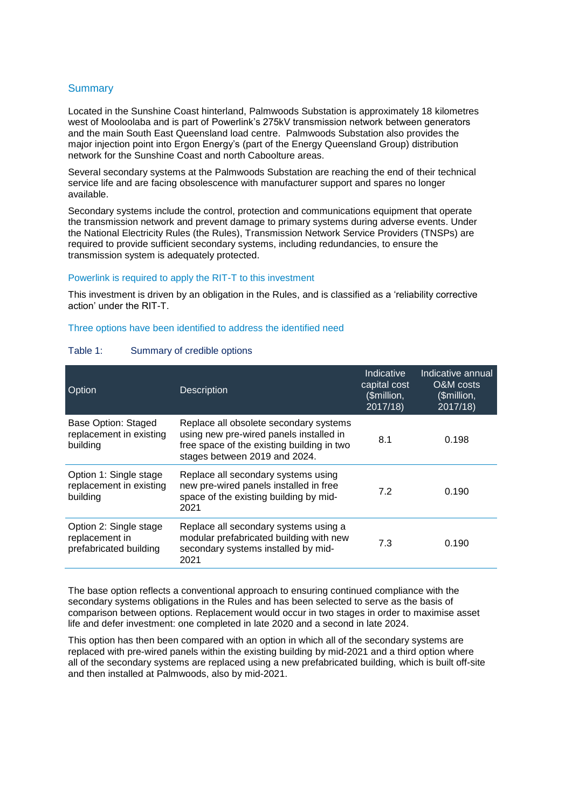## **Summary**

Located in the Sunshine Coast hinterland, Palmwoods Substation is approximately 18 kilometres west of Mooloolaba and is part of Powerlink's 275kV transmission network between generators and the main South East Queensland load centre. Palmwoods Substation also provides the major injection point into Ergon Energy's (part of the Energy Queensland Group) distribution network for the Sunshine Coast and north Caboolture areas.

Several secondary systems at the Palmwoods Substation are reaching the end of their technical service life and are facing obsolescence with manufacturer support and spares no longer available.

Secondary systems include the control, protection and communications equipment that operate the transmission network and prevent damage to primary systems during adverse events. Under the National Electricity Rules (the Rules), Transmission Network Service Providers (TNSPs) are required to provide sufficient secondary systems, including redundancies, to ensure the transmission system is adequately protected.

### Powerlink is required to apply the RIT-T to this investment

This investment is driven by an obligation in the Rules, and is classified as a 'reliability corrective action' under the RIT-T.

#### Three options have been identified to address the identified need

| Option                                                             | <b>Description</b>                                                                                                                                               | Indicative<br>capital cost<br>(\$million,<br>2017/18 | Indicative annual<br>O&M costs<br>(\$million,<br>2017/18 |
|--------------------------------------------------------------------|------------------------------------------------------------------------------------------------------------------------------------------------------------------|------------------------------------------------------|----------------------------------------------------------|
| Base Option: Staged<br>replacement in existing<br>building         | Replace all obsolete secondary systems<br>using new pre-wired panels installed in<br>free space of the existing building in two<br>stages between 2019 and 2024. | 8.1                                                  | 0.198                                                    |
| Option 1: Single stage<br>replacement in existing<br>building      | Replace all secondary systems using<br>new pre-wired panels installed in free<br>space of the existing building by mid-<br>2021                                  | 7.2                                                  | 0.190                                                    |
| Option 2: Single stage<br>replacement in<br>prefabricated building | Replace all secondary systems using a<br>modular prefabricated building with new<br>secondary systems installed by mid-<br>2021                                  | 7.3                                                  | 0.190                                                    |

### Table 1: Summary of credible options

The base option reflects a conventional approach to ensuring continued compliance with the secondary systems obligations in the Rules and has been selected to serve as the basis of comparison between options. Replacement would occur in two stages in order to maximise asset life and defer investment: one completed in late 2020 and a second in late 2024.

This option has then been compared with an option in which all of the secondary systems are replaced with pre-wired panels within the existing building by mid-2021 and a third option where all of the secondary systems are replaced using a new prefabricated building, which is built off-site and then installed at Palmwoods, also by mid-2021.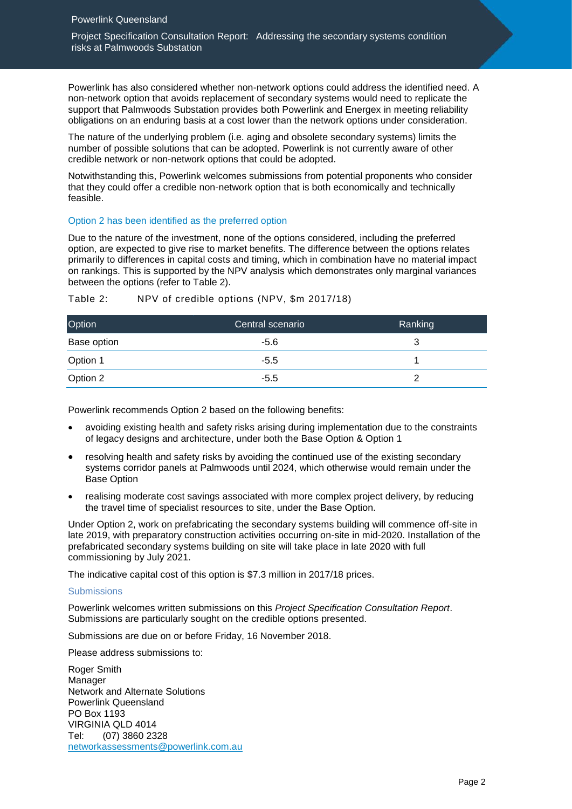Project Specification Consultation Report: Addressing the secondary systems condition risks at Palmwoods Substation

Powerlink has also considered whether non-network options could address the identified need. A non-network option that avoids replacement of secondary systems would need to replicate the support that Palmwoods Substation provides both Powerlink and Energex in meeting reliability obligations on an enduring basis at a cost lower than the network options under consideration.

The nature of the underlying problem (i.e. aging and obsolete secondary systems) limits the number of possible solutions that can be adopted. Powerlink is not currently aware of other credible network or non-network options that could be adopted.

Notwithstanding this, Powerlink welcomes submissions from potential proponents who consider that they could offer a credible non-network option that is both economically and technically feasible.

## Option 2 has been identified as the preferred option

Due to the nature of the investment, none of the options considered, including the preferred option, are expected to give rise to market benefits. The difference between the options relates primarily to differences in capital costs and timing, which in combination have no material impact on rankings. This is supported by the NPV analysis which demonstrates only marginal variances between the options (refer to Table 2).

| Option      | Central scenario | Ranking |
|-------------|------------------|---------|
| Base option | -5.6             | 3       |
| Option 1    | $-5.5$           |         |
| Option 2    | $-5.5$           |         |

Table 2: NPV of credible options (NPV, \$m 2017/18)

Powerlink recommends Option 2 based on the following benefits:

- avoiding existing health and safety risks arising during implementation due to the constraints of legacy designs and architecture, under both the Base Option & Option 1
- resolving health and safety risks by avoiding the continued use of the existing secondary systems corridor panels at Palmwoods until 2024, which otherwise would remain under the Base Option
- realising moderate cost savings associated with more complex project delivery, by reducing the travel time of specialist resources to site, under the Base Option.

Under Option 2, work on prefabricating the secondary systems building will commence off-site in late 2019, with preparatory construction activities occurring on-site in mid-2020. Installation of the prefabricated secondary systems building on site will take place in late 2020 with full commissioning by July 2021.

The indicative capital cost of this option is \$7.3 million in 2017/18 prices.

## **Submissions**

Powerlink welcomes written submissions on this *Project Specification Consultation Report*. Submissions are particularly sought on the credible options presented.

Submissions are due on or before Friday, 16 November 2018.

Please address submissions to:

Roger Smith Manager Network and Alternate Solutions Powerlink Queensland PO Box 1193 VIRGINIA QLD 4014 Tel: (07) 3860 2328 [networkassessments@powerlink.com.au](mailto:networkassessments@powerlink.com.au)